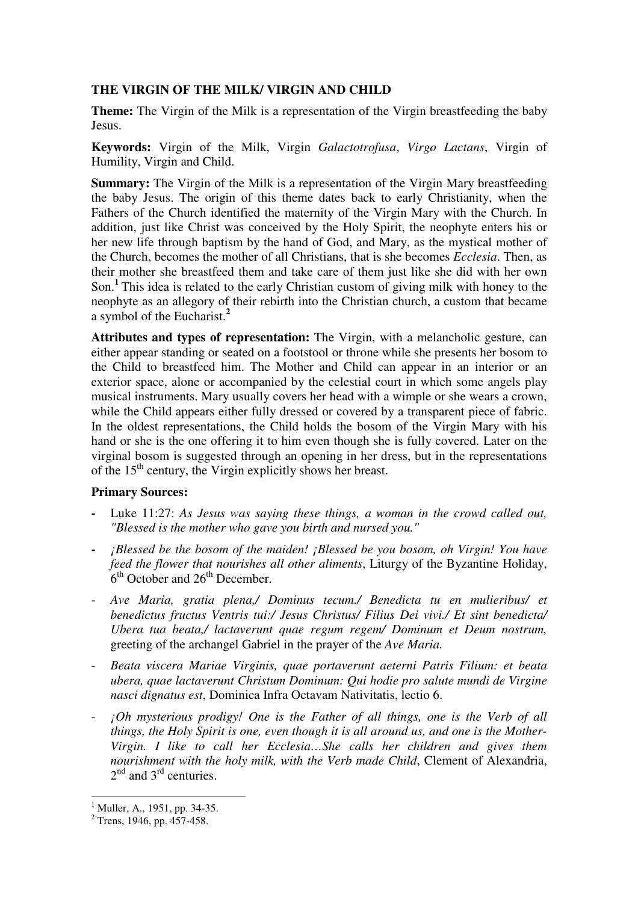## **THE VIRGIN OF THE MILK/ VIRGIN AND CHILD**

**Theme:** The Virgin of the Milk is a representation of the Virgin breastfeeding the baby Jesus.

**Keywords:** Virgin of the Milk, Virgin *Galactotrofusa*, *Virgo Lactans*, Virgin of Humility, Virgin and Child.

**Summary:** The Virgin of the Milk is a representation of the Virgin Mary breastfeeding the baby Jesus. The origin of this theme dates back to early Christianity, when the Fathers of the Church identified the maternity of the Virgin Mary with the Church. In addition, just like Christ was conceived by the Holy Spirit, the neophyte enters his or her new life through baptism by the hand of God, and Mary, as the mystical mother of the Church, becomes the mother of all Christians, that is she becomes *Ecclesia*. Then, as their mother she breastfeed them and take care of them just like she did with her own Son.**<sup>1</sup>**This idea is related to the early Christian custom of giving milk with honey to the neophyte as an allegory of their rebirth into the Christian church, a custom that became a symbol of the Eucharist.**<sup>2</sup>**

**Attributes and types of representation:** The Virgin, with a melancholic gesture, can either appear standing or seated on a footstool or throne while she presents her bosom to the Child to breastfeed him. The Mother and Child can appear in an interior or an exterior space, alone or accompanied by the celestial court in which some angels play musical instruments. Mary usually covers her head with a wimple or she wears a crown, while the Child appears either fully dressed or covered by a transparent piece of fabric. In the oldest representations, the Child holds the bosom of the Virgin Mary with his hand or she is the one offering it to him even though she is fully covered. Later on the virginal bosom is suggested through an opening in her dress, but in the representations of the  $15<sup>th</sup>$  century, the Virgin explicitly shows her breast.

## **Primary Sources:**

- **-** Luke 11:27: *As Jesus was saying these things, a woman in the crowd called out, "Blessed is the mother who gave you birth and nursed you."*
- **-** *¡Blessed be the bosom of the maiden! ¡Blessed be you bosom, oh Virgin! You have feed the flower that nourishes all other aliments*, Liturgy of the Byzantine Holiday,  $6<sup>th</sup>$  October and  $26<sup>th</sup>$  December.
- *Ave Maria, gratia plena,/ Dominus tecum./ Benedicta tu en mulieribus/ et benedictus fructus Ventris tui:/ Jesus Christus/ Filius Dei vivi./ Et sint benedicta/ Ubera tua beata,/ lactaverunt quae regum regem/ Dominum et Deum nostrum,*  greeting of the archangel Gabriel in the prayer of the *Ave Maria.*
- *Beata viscera Mariae Virginis, quae portaverunt aeterni Patris Filium: et beata ubera, quae lactaverunt Christum Dominum: Qui hodie pro salute mundi de Virgine nasci dignatus est*, Dominica Infra Octavam Nativitatis, lectio 6.
- *<i>;Oh mysterious prodigy! One is the Father of all things, one is the Verb of all things, the Holy Spirit is one, even though it is all around us, and one is the Mother-Virgin. I like to call her Ecclesia…She calls her children and gives them nourishment with the holy milk, with the Verb made Child*, Clement of Alexandria,  $2<sup>nd</sup>$  and  $3<sup>rd</sup>$  centuries.

 $\overline{a}$ 

<sup>&</sup>lt;sup>1</sup> Muller, A., 1951, pp. 34-35.

 $2$  Trens, 1946, pp. 457-458.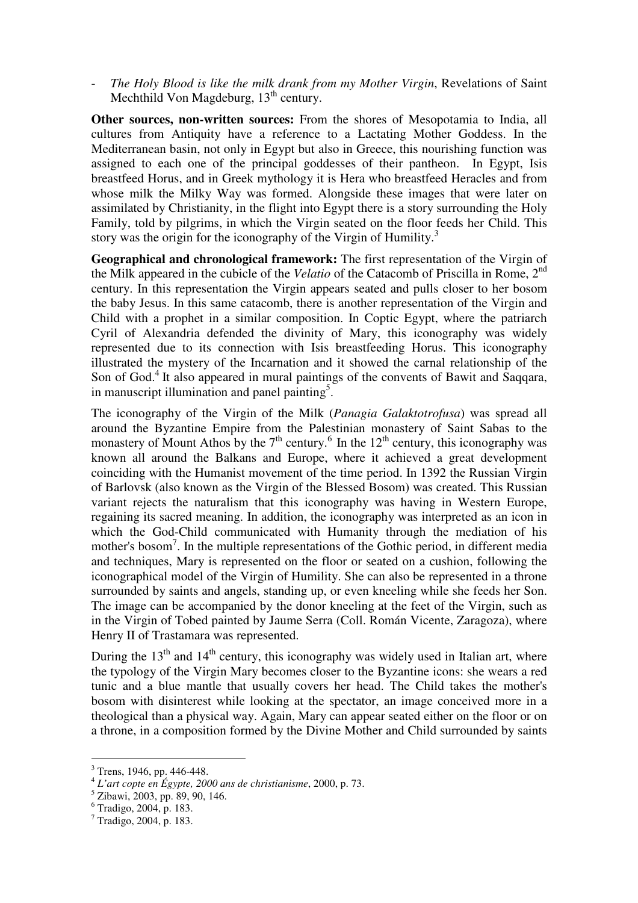The Holy Blood is like the milk drank from my Mother Virgin, Revelations of Saint Mechthild Von Magdeburg,  $13<sup>th</sup>$  century.

**Other sources, non-written sources:** From the shores of Mesopotamia to India, all cultures from Antiquity have a reference to a Lactating Mother Goddess. In the Mediterranean basin, not only in Egypt but also in Greece, this nourishing function was assigned to each one of the principal goddesses of their pantheon. In Egypt, Isis breastfeed Horus, and in Greek mythology it is Hera who breastfeed Heracles and from whose milk the Milky Way was formed. Alongside these images that were later on assimilated by Christianity, in the flight into Egypt there is a story surrounding the Holy Family, told by pilgrims, in which the Virgin seated on the floor feeds her Child. This story was the origin for the iconography of the Virgin of Humility.<sup>3</sup>

**Geographical and chronological framework:** The first representation of the Virgin of the Milk appeared in the cubicle of the *Velatio* of the Catacomb of Priscilla in Rome, 2nd century. In this representation the Virgin appears seated and pulls closer to her bosom the baby Jesus. In this same catacomb, there is another representation of the Virgin and Child with a prophet in a similar composition. In Coptic Egypt, where the patriarch Cyril of Alexandria defended the divinity of Mary, this iconography was widely represented due to its connection with Isis breastfeeding Horus. This iconography illustrated the mystery of the Incarnation and it showed the carnal relationship of the Son of God.<sup>4</sup> It also appeared in mural paintings of the convents of Bawit and Saqqara, in manuscript illumination and panel painting<sup>5</sup>.

The iconography of the Virgin of the Milk (*Panagia Galaktotrofusa*) was spread all around the Byzantine Empire from the Palestinian monastery of Saint Sabas to the monastery of Mount Athos by the  $7<sup>th</sup>$  century.<sup>6</sup> In the  $12<sup>th</sup>$  century, this iconography was known all around the Balkans and Europe, where it achieved a great development coinciding with the Humanist movement of the time period. In 1392 the Russian Virgin of Barlovsk (also known as the Virgin of the Blessed Bosom) was created. This Russian variant rejects the naturalism that this iconography was having in Western Europe, regaining its sacred meaning. In addition, the iconography was interpreted as an icon in which the God-Child communicated with Humanity through the mediation of his mother's bosom<sup>7</sup>. In the multiple representations of the Gothic period, in different media and techniques, Mary is represented on the floor or seated on a cushion, following the iconographical model of the Virgin of Humility. She can also be represented in a throne surrounded by saints and angels, standing up, or even kneeling while she feeds her Son. The image can be accompanied by the donor kneeling at the feet of the Virgin, such as in the Virgin of Tobed painted by Jaume Serra (Coll. Román Vicente, Zaragoza), where Henry II of Trastamara was represented.

During the  $13<sup>th</sup>$  and  $14<sup>th</sup>$  century, this iconography was widely used in Italian art, where the typology of the Virgin Mary becomes closer to the Byzantine icons: she wears a red tunic and a blue mantle that usually covers her head. The Child takes the mother's bosom with disinterest while looking at the spectator, an image conceived more in a theological than a physical way. Again, Mary can appear seated either on the floor or on a throne, in a composition formed by the Divine Mother and Child surrounded by saints

 $\overline{a}$ 

<sup>&</sup>lt;sup>3</sup> Trens, 1946, pp. 446-448.

<sup>4</sup> *L'art copte en Égypte, 2000 ans de christianisme*, 2000, p. 73.

<sup>5</sup> Zibawi, 2003, pp. 89, 90, 146.

<sup>6</sup> Tradigo, 2004, p. 183.

<sup>7</sup> Tradigo, 2004, p. 183.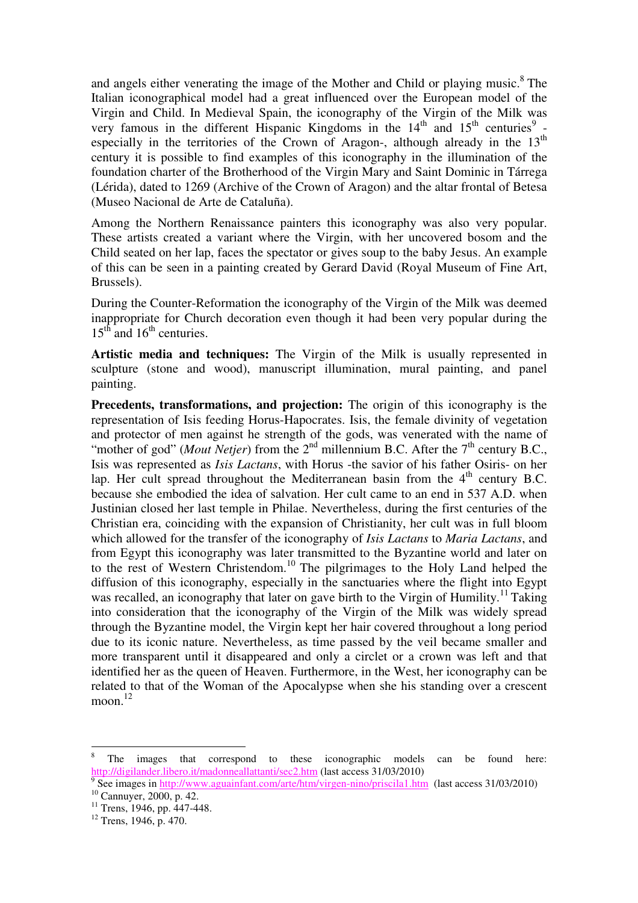and angels either venerating the image of the Mother and Child or playing music.<sup>8</sup> The Italian iconographical model had a great influenced over the European model of the Virgin and Child. In Medieval Spain, the iconography of the Virgin of the Milk was very famous in the different Hispanic Kingdoms in the  $14<sup>th</sup>$  and  $15<sup>th</sup>$  centuries<sup>9</sup> especially in the territories of the Crown of Aragon-, although already in the  $13<sup>th</sup>$ century it is possible to find examples of this iconography in the illumination of the foundation charter of the Brotherhood of the Virgin Mary and Saint Dominic in Tárrega (Lérida), dated to 1269 (Archive of the Crown of Aragon) and the altar frontal of Betesa (Museo Nacional de Arte de Cataluña).

Among the Northern Renaissance painters this iconography was also very popular. These artists created a variant where the Virgin, with her uncovered bosom and the Child seated on her lap, faces the spectator or gives soup to the baby Jesus. An example of this can be seen in a painting created by Gerard David (Royal Museum of Fine Art, Brussels).

During the Counter-Reformation the iconography of the Virgin of the Milk was deemed inappropriate for Church decoration even though it had been very popular during the  $15<sup>th</sup>$  and  $16<sup>th</sup>$  centuries.

**Artistic media and techniques:** The Virgin of the Milk is usually represented in sculpture (stone and wood), manuscript illumination, mural painting, and panel painting.

**Precedents, transformations, and projection:** The origin of this iconography is the representation of Isis feeding Horus-Hapocrates. Isis, the female divinity of vegetation and protector of men against he strength of the gods, was venerated with the name of "mother of god" (*Mout Netjer*) from the 2<sup>nd</sup> millennium B.C. After the 7<sup>th</sup> century B.C., Isis was represented as *Isis Lactans*, with Horus -the savior of his father Osiris- on her lap. Her cult spread throughout the Mediterranean basin from the  $4<sup>th</sup>$  century B.C. because she embodied the idea of salvation. Her cult came to an end in 537 A.D. when Justinian closed her last temple in Philae. Nevertheless, during the first centuries of the Christian era, coinciding with the expansion of Christianity, her cult was in full bloom which allowed for the transfer of the iconography of *Isis Lactans* to *Maria Lactans*, and from Egypt this iconography was later transmitted to the Byzantine world and later on to the rest of Western Christendom.<sup>10</sup> The pilgrimages to the Holy Land helped the diffusion of this iconography, especially in the sanctuaries where the flight into Egypt was recalled, an iconography that later on gave birth to the Virgin of Humility.<sup>11</sup> Taking into consideration that the iconography of the Virgin of the Milk was widely spread through the Byzantine model, the Virgin kept her hair covered throughout a long period due to its iconic nature. Nevertheless, as time passed by the veil became smaller and more transparent until it disappeared and only a circlet or a crown was left and that identified her as the queen of Heaven. Furthermore, in the West, her iconography can be related to that of the Woman of the Apocalypse when she his standing over a crescent moon. 12

 $\overline{a}$ 

<sup>8</sup> The images that correspond to these iconographic models can be found here: http://digilander.libero.it/madonneallattanti/sec2.htm (last access 31/03/2010)

See images in http://www.aguainfant.com/arte/htm/virgen-nino/priscila1.htm (last access 31/03/2010)  $10$  Cannuyer, 2000, p. 42.

<sup>&</sup>lt;sup>11</sup> Trens, 1946, pp. 447-448.

 $12$  Trens, 1946, p. 470.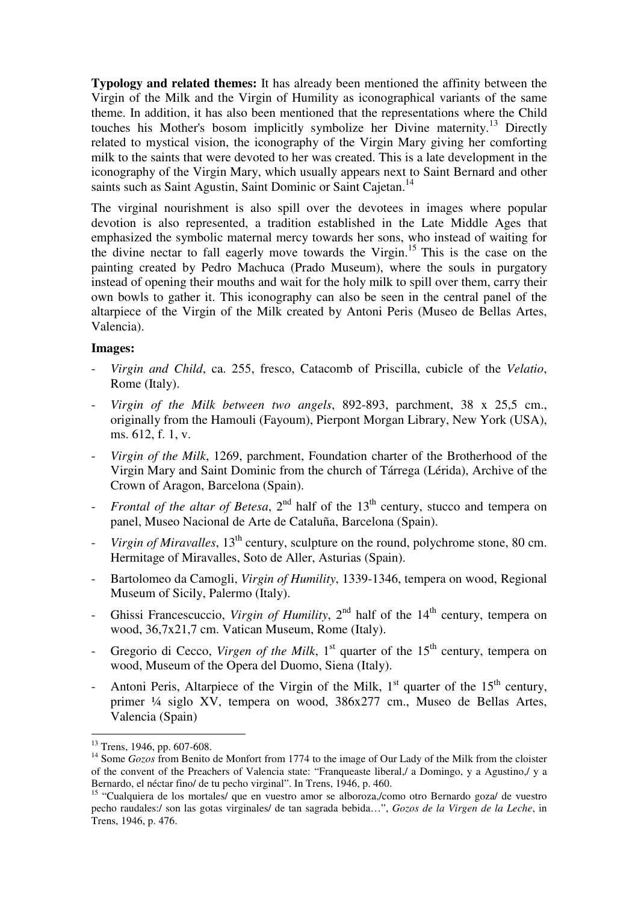**Typology and related themes:** It has already been mentioned the affinity between the Virgin of the Milk and the Virgin of Humility as iconographical variants of the same theme. In addition, it has also been mentioned that the representations where the Child touches his Mother's bosom implicitly symbolize her Divine maternity.<sup>13</sup> Directly related to mystical vision, the iconography of the Virgin Mary giving her comforting milk to the saints that were devoted to her was created. This is a late development in the iconography of the Virgin Mary, which usually appears next to Saint Bernard and other saints such as Saint Agustin, Saint Dominic or Saint Cajetan.<sup>14</sup>

The virginal nourishment is also spill over the devotees in images where popular devotion is also represented, a tradition established in the Late Middle Ages that emphasized the symbolic maternal mercy towards her sons, who instead of waiting for the divine nectar to fall eagerly move towards the Virgin.<sup>15</sup> This is the case on the painting created by Pedro Machuca (Prado Museum), where the souls in purgatory instead of opening their mouths and wait for the holy milk to spill over them, carry their own bowls to gather it. This iconography can also be seen in the central panel of the altarpiece of the Virgin of the Milk created by Antoni Peris (Museo de Bellas Artes, Valencia).

## **Images:**

- *Virgin and Child*, ca. 255, fresco, Catacomb of Priscilla, cubicle of the *Velatio*, Rome (Italy).
- *Virgin of the Milk between two angels*, 892-893, parchment, 38 x 25,5 cm., originally from the Hamouli (Fayoum), Pierpont Morgan Library, New York (USA), ms. 612, f. 1, v.
- *Virgin of the Milk*, 1269, parchment, Foundation charter of the Brotherhood of the Virgin Mary and Saint Dominic from the church of Tárrega (Lérida), Archive of the Crown of Aragon, Barcelona (Spain).
- *Frontal of the altar of Betesa*,  $2<sup>nd</sup>$  half of the  $13<sup>th</sup>$  century, stucco and tempera on panel, Museo Nacional de Arte de Cataluña, Barcelona (Spain).
- *Virgin of Miravalles*, 13<sup>th</sup> century, sculpture on the round, polychrome stone, 80 cm. Hermitage of Miravalles, Soto de Aller, Asturias (Spain).
- Bartolomeo da Camogli, *Virgin of Humility*, 1339-1346, tempera on wood, Regional Museum of Sicily, Palermo (Italy).
- Ghissi Francescuccio, *Virgin of Humility*, 2<sup>nd</sup> half of the 14<sup>th</sup> century, tempera on wood, 36,7x21,7 cm. Vatican Museum, Rome (Italy).
- Gregorio di Cecco, *Virgen of the Milk*,  $1<sup>st</sup>$  quarter of the  $15<sup>th</sup>$  century, tempera on wood, Museum of the Opera del Duomo, Siena (Italy).
- Antoni Peris, Altarpiece of the Virgin of the Milk,  $1<sup>st</sup>$  quarter of the  $15<sup>th</sup>$  century, primer ¼ siglo XV, tempera on wood, 386x277 cm., Museo de Bellas Artes, Valencia (Spain)

 $\overline{a}$  $13$  Trens, 1946, pp. 607-608.

<sup>&</sup>lt;sup>14</sup> Some *Gozos* from Benito de Monfort from 1774 to the image of Our Lady of the Milk from the cloister of the convent of the Preachers of Valencia state: "Franqueaste liberal,/ a Domingo, y a Agustino,/ y a Bernardo, el néctar fino/ de tu pecho virginal". In Trens, 1946, p. 460.

<sup>15</sup> "Cualquiera de los mortales/ que en vuestro amor se alboroza,/como otro Bernardo goza/ de vuestro pecho raudales:/ son las gotas virginales/ de tan sagrada bebida…", *Gozos de la Virgen de la Leche*, in Trens, 1946, p. 476.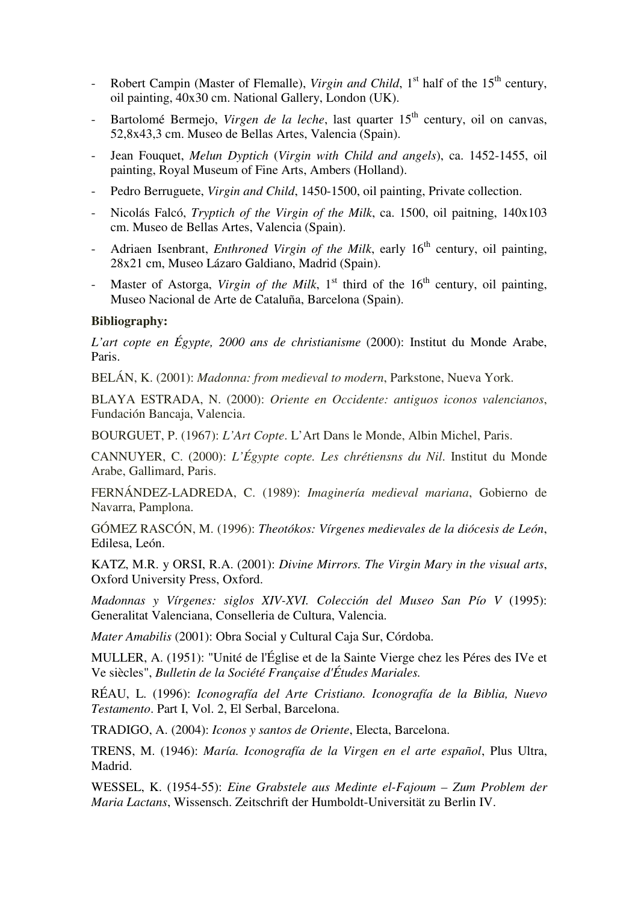- Robert Campin (Master of Flemalle), *Virgin and Child*, 1<sup>st</sup> half of the 15<sup>th</sup> century, oil painting, 40x30 cm. National Gallery, London (UK).
- Bartolomé Bermejo, *Virgen de la leche*, last quarter 15<sup>th</sup> century, oil on canvas, 52,8x43,3 cm. Museo de Bellas Artes, Valencia (Spain).
- Jean Fouquet, *Melun Dyptich* (*Virgin with Child and angels*), ca. 1452-1455, oil painting, Royal Museum of Fine Arts, Ambers (Holland).
- Pedro Berruguete, *Virgin and Child*, 1450-1500, oil painting, Private collection.
- Nicolás Falcó, *Tryptich of the Virgin of the Milk*, ca. 1500, oil paitning, 140x103 cm. Museo de Bellas Artes, Valencia (Spain).
- Adriaen Isenbrant, *Enthroned Virgin of the Milk*, early 16<sup>th</sup> century, oil painting, 28x21 cm, Museo Lázaro Galdiano, Madrid (Spain).
- Master of Astorga, *Virgin of the Milk*,  $1<sup>st</sup>$  third of the  $16<sup>th</sup>$  century, oil painting, Museo Nacional de Arte de Cataluña, Barcelona (Spain).

## **Bibliography:**

*L'art copte en Égypte, 2000 ans de christianisme* (2000): Institut du Monde Arabe, Paris.

BELÁN, K. (2001): *Madonna: from medieval to modern*, Parkstone, Nueva York.

BLAYA ESTRADA, N. (2000): *Oriente en Occidente: antiguos iconos valencianos*, Fundación Bancaja, Valencia.

BOURGUET, P. (1967): *L'Art Copte*. L'Art Dans le Monde, Albin Michel, Paris.

CANNUYER, C. (2000): *L'Égypte copte. Les chrétiensns du Nil*. Institut du Monde Arabe, Gallimard, Paris.

FERNÁNDEZ-LADREDA, C. (1989): *Imaginería medieval mariana*, Gobierno de Navarra, Pamplona.

GÓMEZ RASCÓN, M. (1996): *Theotókos: Vírgenes medievales de la diócesis de León*, Edilesa, León.

KATZ, M.R. y ORSI, R.A. (2001): *Divine Mirrors. The Virgin Mary in the visual arts*, Oxford University Press, Oxford.

*Madonnas y Vírgenes: siglos XIV-XVI. Colección del Museo San Pío V* (1995): Generalitat Valenciana, Conselleria de Cultura, Valencia.

*Mater Amabilis* (2001): Obra Social y Cultural Caja Sur, Córdoba.

MULLER, A. (1951): "Unité de l'Église et de la Sainte Vierge chez les Péres des IVe et Ve siècles", *Bulletin de la Société Française d'Études Mariales.*

RÉAU, L. (1996): *Iconografía del Arte Cristiano. Iconografía de la Biblia, Nuevo Testamento*. Part I, Vol. 2, El Serbal, Barcelona.

TRADIGO, A. (2004): *Iconos y santos de Oriente*, Electa, Barcelona.

TRENS, M. (1946): *María. Iconografía de la Virgen en el arte español*, Plus Ultra, Madrid.

WESSEL, K. (1954-55): *Eine Grabstele aus Medinte el-Fajoum – Zum Problem der Maria Lactans*, Wissensch. Zeitschrift der Humboldt-Universität zu Berlin IV.